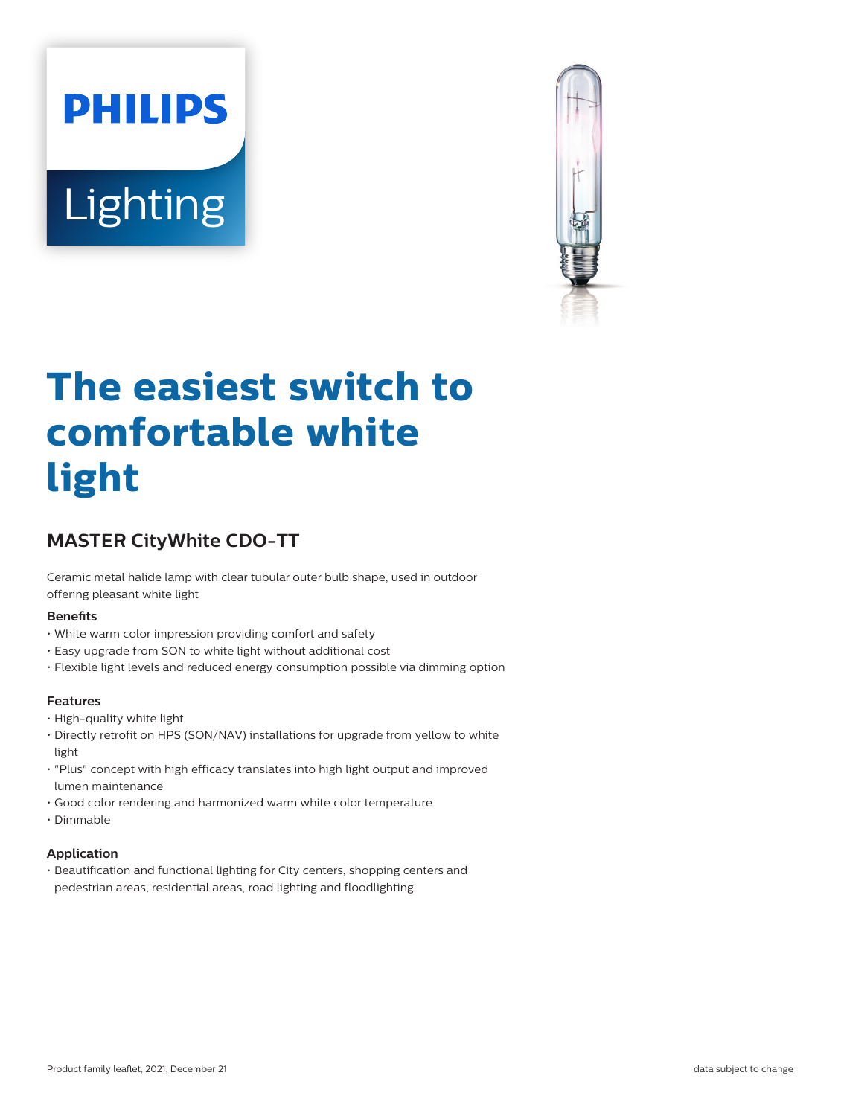# **PHILIPS** Lighting



# **The easiest switch to comfortable white light**

# **MASTER CityWhite CDO-TT**

Ceramic metal halide lamp with clear tubular outer bulb shape, used in outdoor offering pleasant white light

#### **Benefits**

- White warm color impression providing comfort and safety
- Easy upgrade from SON to white light without additional cost
- Flexible light levels and reduced energy consumption possible via dimming option

#### **Features**

- High-quality white light
- Directly retrofit on HPS (SON/NAV) installations for upgrade from yellow to white light
- "Plus" concept with high efficacy translates into high light output and improved lumen maintenance
- Good color rendering and harmonized warm white color temperature
- Dimmable

#### **Application**

• Beautification and functional lighting for City centers, shopping centers and pedestrian areas, residential areas, road lighting and floodlighting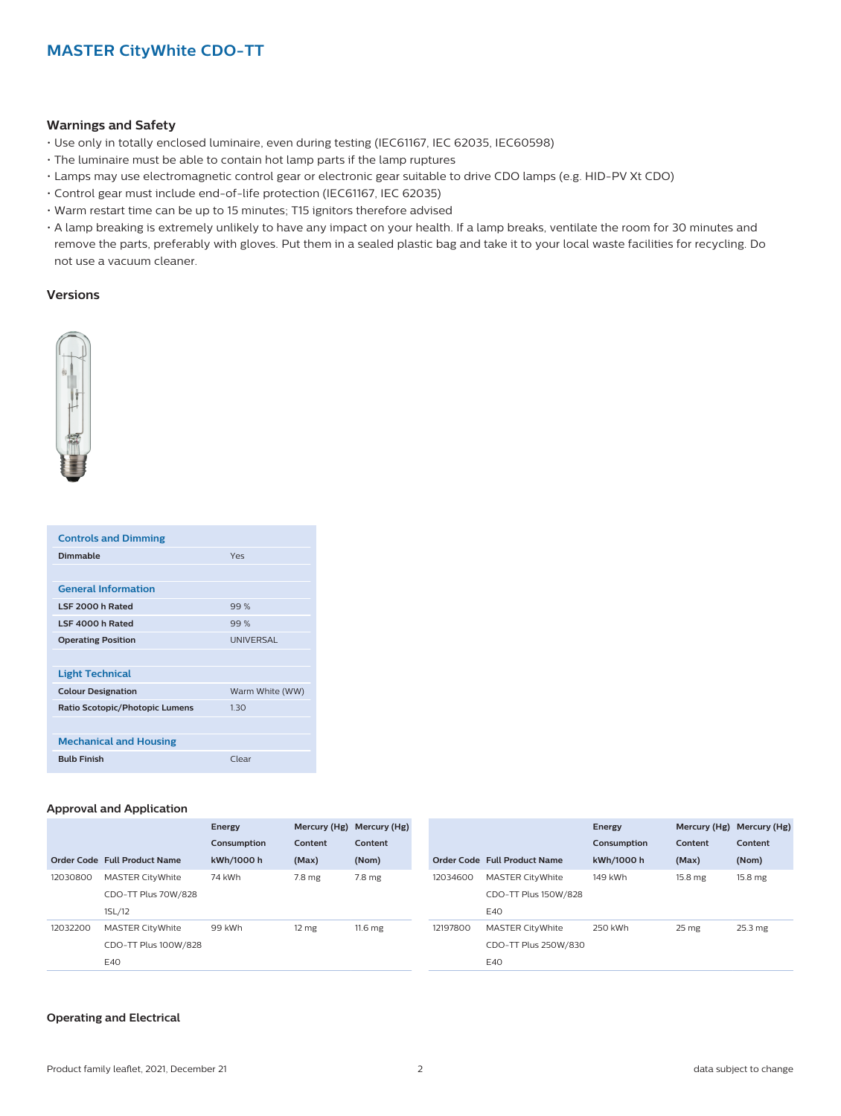#### **Warnings and Safety**

- Use only in totally enclosed luminaire, even during testing (IEC61167, IEC 62035, IEC60598)
- The luminaire must be able to contain hot lamp parts if the lamp ruptures
- Lamps may use electromagnetic control gear or electronic gear suitable to drive CDO lamps (e.g. HID-PV Xt CDO)
- Control gear must include end-of-life protection (IEC61167, IEC 62035)
- Warm restart time can be up to 15 minutes; T15 ignitors therefore advised
- A lamp breaking is extremely unlikely to have any impact on your health. If a lamp breaks, ventilate the room for 30 minutes and remove the parts, preferably with gloves. Put them in a sealed plastic bag and take it to your local waste facilities for recycling. Do not use a vacuum cleaner.

#### **Versions**



| <b>Controls and Dimming</b>    |                  |
|--------------------------------|------------------|
| <b>Dimmable</b>                | Yes              |
|                                |                  |
| <b>General Information</b>     |                  |
| LSF 2000 h Rated               | 99%              |
| LSE 4000 h Rated               | 99%              |
| <b>Operating Position</b>      | <b>UNIVERSAL</b> |
|                                |                  |
| <b>Light Technical</b>         |                  |
| <b>Colour Designation</b>      | Warm White (WW)  |
| Ratio Scotopic/Photopic Lumens | 1.30             |
|                                |                  |
| <b>Mechanical and Housing</b>  |                  |
| <b>Bulb Finish</b>             | Clear            |

#### **Approval and Application**

|          |                              | Energy      |                  | Mercury (Hg) Mercury (Hg) |          |                              | Energy      |                  | Mercury (Hg) Mercury (Hg) |
|----------|------------------------------|-------------|------------------|---------------------------|----------|------------------------------|-------------|------------------|---------------------------|
|          |                              | Consumption | Content          | Content                   |          |                              | Consumption | Content          | Content                   |
|          | Order Code Full Product Name | kWh/1000 h  | (Max)            | (Nom)                     |          | Order Code Full Product Name | kWh/1000 h  | (Max)            | (Nom)                     |
| 12030800 | <b>MASTER CityWhite</b>      | 74 kWh      | $7.8 \text{ mg}$ | $7.8 \text{ mg}$          | 12034600 | <b>MASTER CityWhite</b>      | 149 kWh     | 15.8 mg          | 15.8 mg                   |
|          | CDO-TT Plus 70W/828          |             |                  |                           |          | CDO-TT Plus 150W/828         |             |                  |                           |
|          | 1SL/12                       |             |                  |                           |          | E40                          |             |                  |                           |
| 12032200 | <b>MASTER CityWhite</b>      | 99 kWh      | 12 <sub>mg</sub> | 11.6 <sub>mg</sub>        | 12197800 | <b>MASTER CityWhite</b>      | 250 kWh     | 25 <sub>mg</sub> | 25.3 mg                   |
|          | CDO-TT Plus 100W/828         |             |                  |                           |          | CDO-TT Plus 250W/830         |             |                  |                           |
|          | E40                          |             |                  |                           |          | E40                          |             |                  |                           |

#### **Operating and Electrical**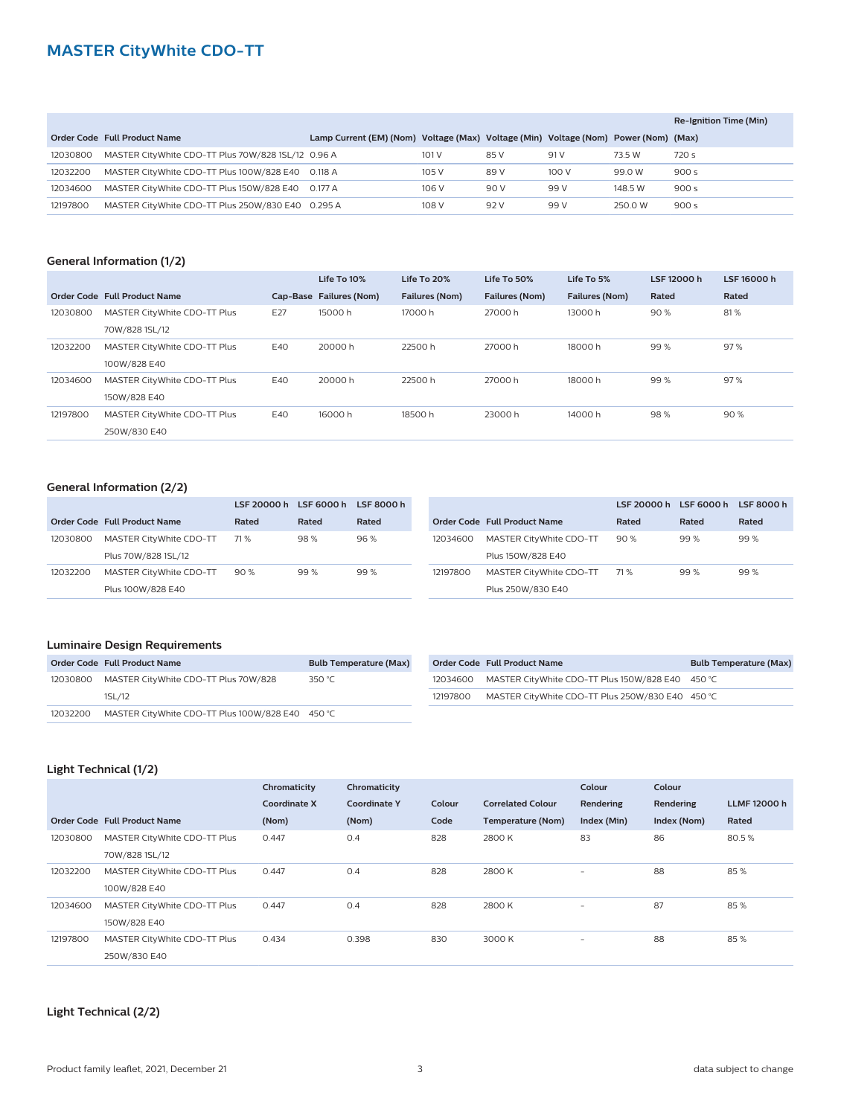## **MASTER CityWhite CDO-TT**

|          |                                                    |                                                                                     |       |      |       |         | Re-Ignition Time (Min) |
|----------|----------------------------------------------------|-------------------------------------------------------------------------------------|-------|------|-------|---------|------------------------|
|          | Order Code Full Product Name                       | Lamp Current (EM) (Nom) Voltage (Max) Voltage (Min) Voltage (Nom) Power (Nom) (Max) |       |      |       |         |                        |
| 12030800 | MASTER CityWhite CDO-TT Plus 70W/828 1SL/12 0.96 A |                                                                                     | 101 V | 85 V | 91 V  | 73.5 W  | 720 s                  |
| 12032200 | MASTER CityWhite CDO-TT Plus 100W/828 E40 0.118 A  |                                                                                     | 105 V | 89 V | 100 V | 99.0 W  | 900s                   |
| 12034600 | MASTER CityWhite CDO-TT Plus 150W/828 E40 0.177 A  |                                                                                     | 106 V | 90 V | 99 V  | 148.5 W | 900s                   |
| 12197800 | MASTER CityWhite CDO-TT Plus 250W/830 E40 0.295 A  |                                                                                     | 108 V | 92 V | 99 V  | 250.0 W | 900 s                  |

#### **General Information (1/2)**

|          |                              |     | Life To 10%             | Life To 20%           | Life To 50%    | Life To 5%            | LSF 12000 h | LSF 16000 h |
|----------|------------------------------|-----|-------------------------|-----------------------|----------------|-----------------------|-------------|-------------|
|          | Order Code Full Product Name |     | Cap-Base Failures (Nom) | <b>Failures (Nom)</b> | Failures (Nom) | <b>Failures (Nom)</b> | Rated       | Rated       |
| 12030800 | MASTER CityWhite CDO-TT Plus | E27 | 15000h                  | 17000h                | 27000 h        | 13000h                | 90%         | 81%         |
|          | 70W/828 1SL/12               |     |                         |                       |                |                       |             |             |
| 12032200 | MASTER CityWhite CDO-TT Plus | E40 | 20000 h                 | 22500 h               | 27000 h        | 18000h                | 99%         | 97%         |
|          | 100W/828 E40                 |     |                         |                       |                |                       |             |             |
| 12034600 | MASTER CityWhite CDO-TT Plus | E40 | 20000h                  | 22500h                | 27000 h        | 18000h                | 99%         | 97%         |
|          | 150W/828 E40                 |     |                         |                       |                |                       |             |             |
| 12197800 | MASTER CityWhite CDO-TT Plus | E40 | 16000h                  | 18500h                | 23000 h        | 14000h                | 98%         | 90%         |
|          | 250W/830 E40                 |     |                         |                       |                |                       |             |             |

#### **General Information (2/2)**

|          |                              | LSF 20000 h LSF 6000 h |       | LSF 8000 h |          |                              | LSF 20000 h | LSF 6000 h | LSF 8000 h |
|----------|------------------------------|------------------------|-------|------------|----------|------------------------------|-------------|------------|------------|
|          | Order Code Full Product Name | Rated                  | Rated | Rated      |          | Order Code Full Product Name | Rated       | Rated      | Rated      |
| 12030800 | MASTER CityWhite CDO-TT      | 71 %                   | 98%   | 96 %       | 12034600 | MASTER CityWhite CDO-TT      | 90%         | 99%        | 99%        |
|          | Plus 70W/828 1SL/12          |                        |       |            |          | Plus 150W/828 E40            |             |            |            |
| 12032200 | MASTER CityWhite CDO-TT      | 90%                    | 99%   | 99 %       | 12197800 | MASTER CityWhite CDO-TT      | 71 %        | 99%        | 99%        |
|          | Plus 100W/828 E40            |                        |       |            |          | Plus 250W/830 E40            |             |            |            |

#### **Luminaire Design Requirements**

|          | Order Code Full Product Name                    | <b>Bulb Temperature (Max)</b> |
|----------|-------------------------------------------------|-------------------------------|
|          | 12030800 MASTER CityWhite CDO-TT Plus 70W/828   | 350 °C                        |
|          | 1SL/12                                          |                               |
| 12032200 | MASTER CityWhite CDO-TT Plus 100W/828 E40 450 ℃ |                               |

|          | Order Code Full Product Name                     | <b>Bulb Temperature (Max)</b> |
|----------|--------------------------------------------------|-------------------------------|
| 12034600 | MASTER CityWhite CDO-TT Plus 150W/828 E40 450 °C |                               |
| 12197800 | MASTER CityWhite CDO-TT Plus 250W/830 E40 450 ℃  |                               |

#### **Light Technical (1/2)**

|          |                              | Chromaticity | Chromaticity        |        |                          | Colour                   | Colour      |                   |
|----------|------------------------------|--------------|---------------------|--------|--------------------------|--------------------------|-------------|-------------------|
|          |                              | Coordinate X | <b>Coordinate Y</b> | Colour | <b>Correlated Colour</b> | Rendering                | Rendering   | <b>LLMF12000h</b> |
|          | Order Code Full Product Name | (Nom)        | (Nom)               | Code   | Temperature (Nom)        | Index (Min)              | Index (Nom) | Rated             |
| 12030800 | MASTER CityWhite CDO-TT Plus | 0.447        | 0.4                 | 828    | 2800K                    | 83                       | 86          | 80.5%             |
|          | 70W/828 1SL/12               |              |                     |        |                          |                          |             |                   |
| 12032200 | MASTER CityWhite CDO-TT Plus | 0.447        | 0.4                 | 828    | 2800K                    | $\overline{\phantom{0}}$ | 88          | 85%               |
|          | 100W/828 E40                 |              |                     |        |                          |                          |             |                   |
| 12034600 | MASTER CityWhite CDO-TT Plus | 0.447        | 0.4                 | 828    | 2800 K                   | $\overline{\phantom{a}}$ | 87          | 85%               |
|          | 150W/828 E40                 |              |                     |        |                          |                          |             |                   |
| 12197800 | MASTER CityWhite CDO-TT Plus | 0.434        | 0.398               | 830    | 3000 K                   | $\overline{\phantom{0}}$ | 88          | 85%               |
|          | 250W/830 E40                 |              |                     |        |                          |                          |             |                   |

#### **Light Technical (2/2)**